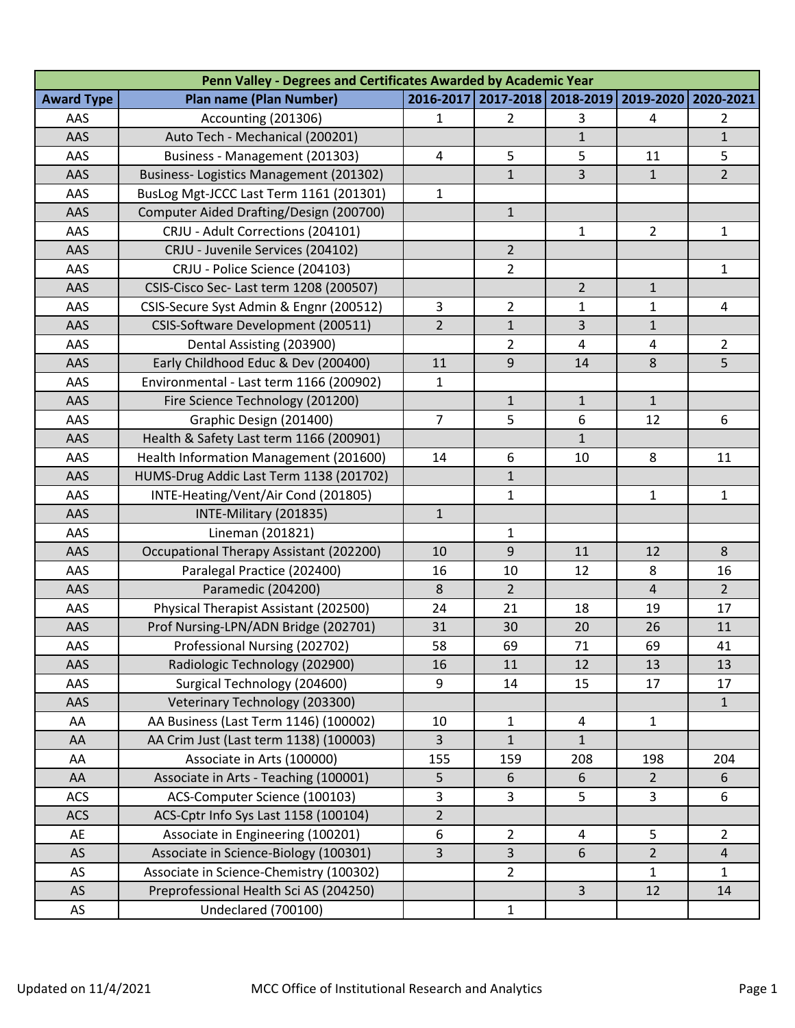| Penn Valley - Degrees and Certificates Awarded by Academic Year |                                         |                |                                   |                |                |                  |  |  |  |  |
|-----------------------------------------------------------------|-----------------------------------------|----------------|-----------------------------------|----------------|----------------|------------------|--|--|--|--|
| <b>Award Type</b>                                               | <b>Plan name (Plan Number)</b>          |                | 2016-2017   2017-2018   2018-2019 |                | 2019-2020      | 2020-2021        |  |  |  |  |
| AAS                                                             | Accounting (201306)                     | $\mathbf{1}$   | $\overline{2}$                    | 3              | 4              | 2                |  |  |  |  |
| AAS                                                             | Auto Tech - Mechanical (200201)         |                |                                   | $\mathbf{1}$   |                | $\mathbf{1}$     |  |  |  |  |
| AAS                                                             | Business - Management (201303)          | 4              | 5                                 | 5              | 11             | 5                |  |  |  |  |
| AAS                                                             | Business-Logistics Management (201302)  |                | $\mathbf{1}$                      | 3              | $\mathbf{1}$   | $2^{\circ}$      |  |  |  |  |
| AAS                                                             | BusLog Mgt-JCCC Last Term 1161 (201301) | $\mathbf{1}$   |                                   |                |                |                  |  |  |  |  |
| AAS                                                             | Computer Aided Drafting/Design (200700) |                | $\mathbf{1}$                      |                |                |                  |  |  |  |  |
| AAS                                                             | CRJU - Adult Corrections (204101)       |                |                                   | $\mathbf{1}$   | $\overline{2}$ | $\mathbf{1}$     |  |  |  |  |
| AAS                                                             | CRJU - Juvenile Services (204102)       |                | $\overline{2}$                    |                |                |                  |  |  |  |  |
| AAS                                                             | CRJU - Police Science (204103)          |                | $\overline{2}$                    |                |                | $\mathbf{1}$     |  |  |  |  |
| AAS                                                             | CSIS-Cisco Sec- Last term 1208 (200507) |                |                                   | $\overline{2}$ | $\mathbf{1}$   |                  |  |  |  |  |
| AAS                                                             | CSIS-Secure Syst Admin & Engnr (200512) | $\overline{3}$ | $\overline{2}$                    | $\mathbf{1}$   | $\mathbf{1}$   | 4                |  |  |  |  |
| AAS                                                             | CSIS-Software Development (200511)      | $\overline{2}$ | $\mathbf{1}$                      | 3              | $\mathbf{1}$   |                  |  |  |  |  |
| AAS                                                             | Dental Assisting (203900)               |                | $\overline{2}$                    | 4              | 4              | $\overline{2}$   |  |  |  |  |
| AAS                                                             | Early Childhood Educ & Dev (200400)     | 11             | 9                                 | 14             | 8              | 5                |  |  |  |  |
| AAS                                                             | Environmental - Last term 1166 (200902) | $\mathbf{1}$   |                                   |                |                |                  |  |  |  |  |
| AAS                                                             | Fire Science Technology (201200)        |                | $\mathbf{1}$                      | $\mathbf{1}$   | $\mathbf{1}$   |                  |  |  |  |  |
| AAS                                                             | Graphic Design (201400)                 | $\overline{7}$ | 5                                 | 6              | 12             | $\boldsymbol{6}$ |  |  |  |  |
| AAS                                                             | Health & Safety Last term 1166 (200901) |                |                                   | $\mathbf{1}$   |                |                  |  |  |  |  |
| AAS                                                             | Health Information Management (201600)  | 14             | 6                                 | 10             | 8              | 11               |  |  |  |  |
| AAS                                                             | HUMS-Drug Addic Last Term 1138 (201702) |                | $\mathbf{1}$                      |                |                |                  |  |  |  |  |
| AAS                                                             | INTE-Heating/Vent/Air Cond (201805)     |                | 1                                 |                | $\mathbf{1}$   | $\mathbf{1}$     |  |  |  |  |
| AAS                                                             | INTE-Military (201835)                  | $\mathbf{1}$   |                                   |                |                |                  |  |  |  |  |
| AAS                                                             | Lineman (201821)                        |                | $\mathbf{1}$                      |                |                |                  |  |  |  |  |
| AAS                                                             | Occupational Therapy Assistant (202200) | 10             | $\mathsf g$                       | 11             | 12             | $\,8$            |  |  |  |  |
| AAS                                                             | Paralegal Practice (202400)             | 16             | 10                                | 12             | 8              | 16               |  |  |  |  |
| AAS                                                             | Paramedic (204200)                      | 8              | $\overline{2}$                    |                | $\overline{4}$ | $\overline{2}$   |  |  |  |  |
| AAS                                                             | Physical Therapist Assistant (202500)   | 24             | 21                                | 18             | 19             | 17               |  |  |  |  |
| AAS                                                             | Prof Nursing-LPN/ADN Bridge (202701)    | 31             | 30                                | 20             | 26             | 11               |  |  |  |  |
| AAS                                                             | Professional Nursing (202702)           | 58             | 69                                | 71             | 69             | 41               |  |  |  |  |
| AAS                                                             | Radiologic Technology (202900)          | 16             | 11                                | 12             | 13             | 13               |  |  |  |  |
| AAS                                                             | Surgical Technology (204600)            | 9              | 14                                | 15             | 17             | 17               |  |  |  |  |
| AAS                                                             | Veterinary Technology (203300)          |                |                                   |                |                | $\mathbf{1}$     |  |  |  |  |
| AA                                                              | AA Business (Last Term 1146) (100002)   | 10             | $\mathbf{1}$                      | 4              | $\mathbf{1}$   |                  |  |  |  |  |
| AA                                                              | AA Crim Just (Last term 1138) (100003)  | $\overline{3}$ | $\mathbf{1}$                      | $\mathbf{1}$   |                |                  |  |  |  |  |
| AA                                                              | Associate in Arts (100000)              | 155            | 159                               | 208            | 198            | 204              |  |  |  |  |
| AA                                                              | Associate in Arts - Teaching (100001)   | 5              | 6                                 | 6              | $\overline{2}$ | 6                |  |  |  |  |
| <b>ACS</b>                                                      | ACS-Computer Science (100103)           | 3              | 3                                 | 5              | 3              | 6                |  |  |  |  |
| <b>ACS</b>                                                      | ACS-Cptr Info Sys Last 1158 (100104)    | $\overline{2}$ |                                   |                |                |                  |  |  |  |  |
| AE                                                              | Associate in Engineering (100201)       | 6              | $\overline{2}$                    | 4              | 5              | $\overline{2}$   |  |  |  |  |
| AS                                                              | Associate in Science-Biology (100301)   | 3              | 3                                 | 6              | $\overline{2}$ | 4                |  |  |  |  |
| AS                                                              | Associate in Science-Chemistry (100302) |                | $\overline{2}$                    |                | $\mathbf{1}$   | 1                |  |  |  |  |
| AS                                                              | Preprofessional Health Sci AS (204250)  |                |                                   | $\overline{3}$ | 12             | 14               |  |  |  |  |
| AS                                                              | Undeclared (700100)                     |                | $\mathbf{1}$                      |                |                |                  |  |  |  |  |